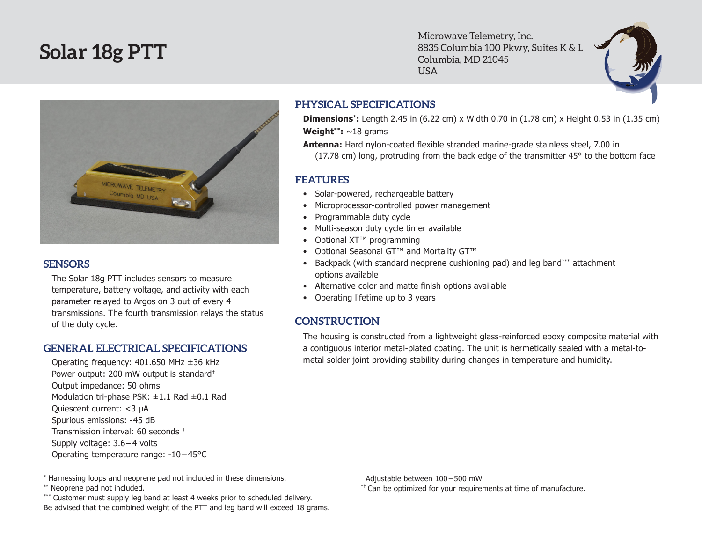# **Solar 18g PTT**

Microwave Telemetry, Inc. 8835 Columbia 100 Pkwy, Suites K & L Columbia, MD 21045 USA



#### **SENSORS**

The Solar 18g PTT includes sensors to measure temperature, battery voltage, and activity with each parameter relayed to Argos on 3 out of every 4 transmissions. The fourth transmission relays the status of the duty cycle.

#### **GENERAL ELECTRICAL SPECIFICATIONS**

Operating frequency: 401.650 MHz ±36 kHz Power output: 200 mW output is standard† Output impedance: 50 ohms Modulation tri-phase PSK: ±1.1 Rad ±0.1 Rad Quiescent current: <3 µA Spurious emissions: -45 dB Transmission interval: 60 seconds<sup>††</sup> Supply voltage: 3.6 – 4 volts Operating temperature range: -10 – 45°C

\* Harnessing loops and neoprene pad not included in these dimensions.

\*\* Neoprene pad not included.

\*\*\* Customer must supply leg band at least 4 weeks prior to scheduled delivery. Be advised that the combined weight of the PTT and leg band will exceed 18 grams.

### **PHYSICAL SPECIFICATIONS**

**Dimensions\*:** Length 2.45 in (6.22 cm) x Width 0.70 in (1.78 cm) x Height 0.53 in (1.35 cm) **Weight\*\*:** ~18 grams

**Antenna:** Hard nylon-coated flexible stranded marine-grade stainless steel, 7.00 in (17.78 cm) long, protruding from the back edge of the transmitter 45° to the bottom face

## **FEATURES**

- Solar-powered, rechargeable battery
- Microprocessor-controlled power management
- • Programmable duty cycle
- Multi-season duty cycle timer available
- Optional XT<sup>™</sup> programming
- Optional Seasonal GT™ and Mortality GT™
- Backpack (with standard neoprene cushioning pad) and leg band\*\*\* attachment options available
- • Alternative color and matte finish options available
- Operating lifetime up to 3 years

# **CONSTRUCTION**

The housing is constructed from a lightweight glass-reinforced epoxy composite material with a contiguous interior metal-plated coating. The unit is hermetically sealed with a metal-tometal solder joint providing stability during changes in temperature and humidity.

† Adjustable between 100 – 500 mW

 $<sup>††</sup>$  Can be optimized for your requirements at time of manufacture.</sup>